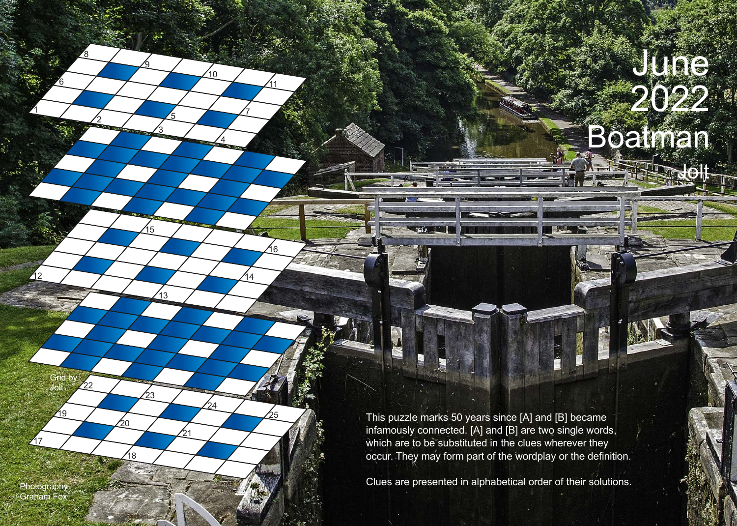## Boatman June 2022

**THE REAL** 

Jolt

This puzzle marks 50 years since [A] and [B] became infamously connected. [A] and [B] are two single words, which are to be substituted in the clues wherever they occur. They may form part of the wordplay or the definition.

**This William** 

Clues are presented in alphabetical order of their solutions.

Photography<br>Graham Fox

 $\overline{1}7$ 

19

Grid by Jolt

22

1

6

2

8

3

9

 $\frac{12}{14}$ 

15

 $\frac{1}{13}$ 

23

20

18

24

21

5

7

้า ด

4

11

16

25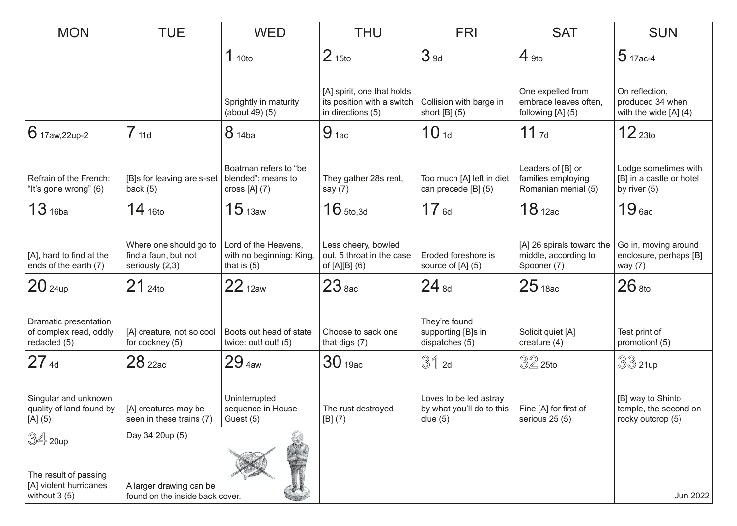| <b>MON</b>                                                        | <b>TUE</b>                                                        | <b>WED</b>                                                        | <b>THU</b>                                                                    | <b>FRI</b>                                                        | <b>SAT</b>                                                       | <b>SUN</b>                                                         |
|-------------------------------------------------------------------|-------------------------------------------------------------------|-------------------------------------------------------------------|-------------------------------------------------------------------------------|-------------------------------------------------------------------|------------------------------------------------------------------|--------------------------------------------------------------------|
|                                                                   |                                                                   | 1 <sub>10to</sub>                                                 | 2 <sub>15to</sub>                                                             | 3 <sub>9d</sub>                                                   | $4_{9t0}$                                                        | $5$ 17ac-4                                                         |
|                                                                   |                                                                   | Sprightly in maturity<br>(about 49) (5)                           | [A] spirit, one that holds<br>its position with a switch<br>in directions (5) | Collision with barge in<br>short $[B]$ (5)                        | One expelled from<br>embrace leaves often,<br>following [A] (5)  | On reflection,<br>produced 34 when<br>with the wide $[A]$ (4)      |
| $6$ 17aw,22up-2                                                   | 7 <sub>11d</sub>                                                  | 8 14ba                                                            | $9_{1ac}$                                                                     | 10 <sub>1d</sub>                                                  | $11_{7d}$                                                        | 12 <sub>23to</sub>                                                 |
| Refrain of the French:<br>"It's gone wrong" (6)                   | [B]s for leaving are s-set<br>back $(5)$                          | Boatman refers to "be<br>blended": means to<br>cross $[A]$ (7)    | They gather 28s rent,<br>say $(7)$                                            | Too much [A] left in diet<br>can precede [B] (5)                  | Leaders of [B] or<br>families employing<br>Romanian menial (5)   | Lodge sometimes with<br>[B] in a castle or hotel<br>by river $(5)$ |
| $13$ 16ba                                                         | $14_{16to}$                                                       | 15 <sub>13aw</sub>                                                | $16$ 5to.3d                                                                   | 17 <sub>6d</sub>                                                  | 18 <sub>12ac</sub>                                               | $19$ <sub>6ac</sub>                                                |
| [A], hard to find at the<br>ends of the earth (7)                 | Where one should go to<br>find a faun, but not<br>seriously (2,3) | Lord of the Heavens,<br>with no beginning: King,<br>that is $(5)$ | Less cheery, bowled<br>out, 5 throat in the case<br>of [A][B] (6)             | Eroded foreshore is<br>source of [A] (5)                          | [A] 26 spirals toward the<br>middle, according to<br>Spooner (7) | Go in, moving around<br>enclosure, perhaps [B]<br>way (7)          |
| 20 <sub>24up</sub>                                                | $21_{240}$                                                        | $22_{12aw}$                                                       | 23 <sub>8ac</sub>                                                             | $24_{8d}$                                                         | 25 <sub>18ac</sub>                                               | $26$ <sub>8to</sub>                                                |
| Dramatic presentation<br>of complex read, oddly<br>redacted (5)   | [A] creature, not so cool<br>for cockney (5)                      | Boots out head of state<br>twice: out! out! (5)                   | Choose to sack one<br>that digs (7)                                           | They're found<br>supporting [B]s in<br>dispatches (5)             | Solicit quiet [A]<br>creature (4)                                | Test print of<br>promotion! (5)                                    |
| $27_{4d}$                                                         | 28 <sub>22ac</sub>                                                | 29 <sub>4aw</sub>                                                 | 30 <sub>19ac</sub>                                                            | $31$ 2d                                                           | $32$ 25to                                                        | $33$ 21up                                                          |
| Singular and unknown<br>quality of land found by<br>[A] (5)       | [A] creatures may be<br>seen in these trains (7)                  | Uninterrupted<br>sequence in House<br>Guest (5)                   | The rust destroyed<br>[B](7)                                                  | Loves to be led astray<br>by what you'll do to this<br>clue $(5)$ | Fine [A] for first of<br>serious 25 (5)                          | [B] way to Shinto<br>temple, the second on<br>rocky outcrop (5)    |
| $\mathbb{S}4$ 20up                                                | Day 34 20up (5)                                                   |                                                                   |                                                                               |                                                                   |                                                                  |                                                                    |
| The result of passing<br>[A] violent hurricanes<br>without $3(5)$ | A larger drawing can be<br>found on the inside back cover.        |                                                                   |                                                                               |                                                                   |                                                                  | Jun 2022                                                           |